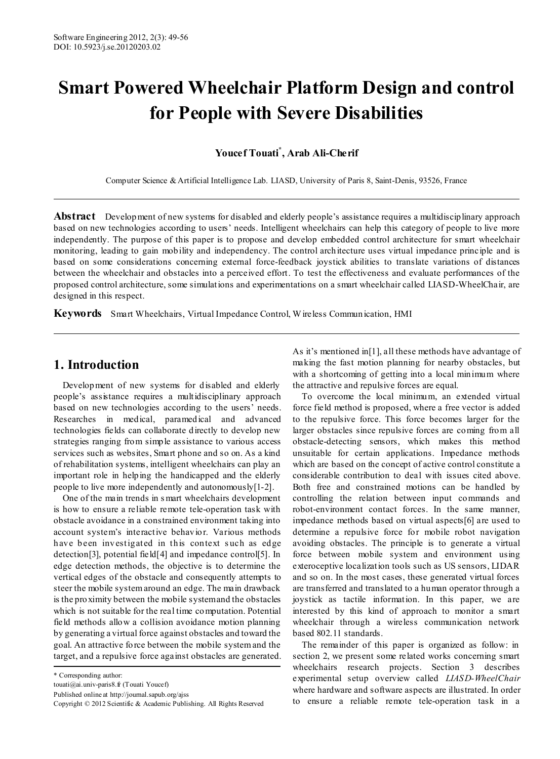# **Smart Powered Wheelchair Platform Design and control for People with Severe Disabilities**

# **Youcef Touati\* , Arab Ali-Cherif**

Computer Science & Artificial Intelligence Lab. LIASD, University of Paris 8, Saint-Denis, 93526, France

**Abstract** Development of new systems for disabled and elderly people's assistance requires a multidisciplinary approach based on new technologies according to users' needs. Intelligent wheelchairs can help this category of people to live more independently. The purpose of this paper is to propose and develop embedded control architecture for smart wheelchair monitoring, leading to gain mobility and independency. The control architecture uses virtual impedance principle and is based on some considerations concerning external force-feedback joystick abilities to translate variations of distances between the wheelchair and obstacles into a perceived effort. To test the effectiveness and evaluate performances of the proposed control architecture, some simulations and experimentations on a smart wheelchair called LIASD-WheelChair, are designed in this respect.

**Keywords** Smart Wheelchairs, Virtual Impedance Control, W ireless Communication, HMI

# **1. Introduction**

Development of new systems for disabled and elderly people's assistance requires a multidisciplinary approach based on new technologies according to the users' needs. Researches in medical, paramedical and advanced technologies fields can collaborate directly to develop new strategies ranging from simple assistance to various access services such as websites, Smart phone and so on. As a kind of rehabilitation systems, intelligent wheelchairs can play an important role in helping the handicapped and the elderly people to live more independently and autonomously[1-2].

One of the main trends in s mart wheelchairs development is how to ensure a reliable remote tele-operation task with obstacle avoidance in a constrained environment taking into account system's interactive behavior. Various methods have been investigated in this context such as edge detection[3], potential field[4] and impedance control[5]. In edge detection methods, the objective is to determine the vertical edges of the obstacle and consequently attempts to steer the mobile system around an edge. The main drawback is the proximity between the mobile system and the obstacles which is not suitable for the real time computation. Potential field methods allow a collision avoidance motion planning by generating a virtual force against obstacles and toward the goal. An attractive force between the mobile system and the target, and a repulsive force against obstacles are generated. As it's mentioned in[1], all these methods have advantage of making the fast motion planning for nearby obstacles, but with a shortcoming of getting into a local minimum where the attractive and repulsive forces are equal.

To overcome the local minimum, an extended virtual force field method is proposed, where a free vector is added to the repulsive force. This force becomes larger for the larger obstacles since repulsive forces are coming from all obstacle-detecting sensors, which makes this method unsuitable for certain applications. Impedance methods which are based on the concept of active control constitute a considerable contribution to deal with issues cited above. Both free and constrained motions can be handled by controlling the relation between input commands and robot-environment contact forces. In the same manner, impedance methods based on virtual aspects[6] are used to determine a repulsive force for mobile robot navigation avoiding obstacles. The principle is to generate a virtual force between mobile system and environment using exteroceptive localization tools such as US sensors, LIDAR and so on. In the most cases, these generated virtual forces are transferred and translated to a human operator through a joystick as tactile information. In this paper, we are interested by this kind of approach to monitor a smart wheelchair through a wireless communication network based 802.11 standards.

The remainder of this paper is organized as follow: in section 2, we present some related works concerning smart wheelchairs research projects. Section 3 describes experimental setup overview called *LIASD-WheelChair* where hardware and software aspects are illustrated. In order to ensure a reliable remote tele-operation task in a

<sup>\*</sup> Corresponding author:

touati@ai.univ-paris8.fr (Touati Youcef)

Published online at http://journal.sapub.org/ajss

Copyright © 2012 Scientific & Academic Publishing. All Rights Reserved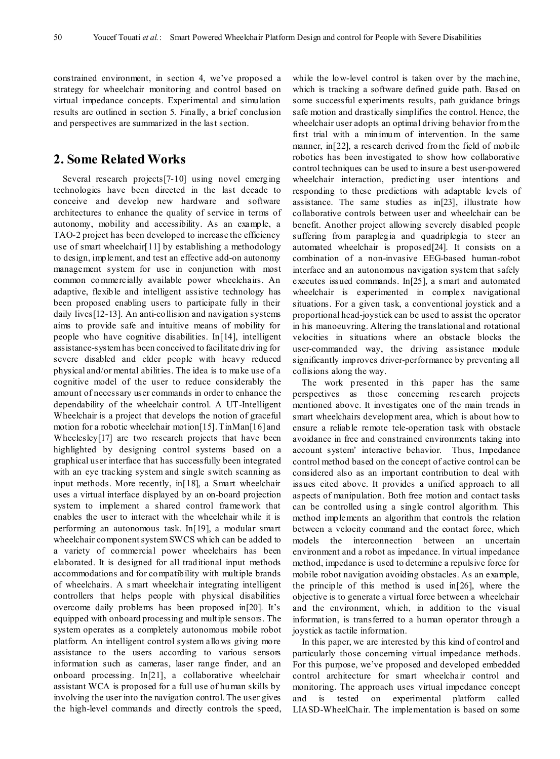constrained environment, in section 4, we've proposed a strategy for wheelchair monitoring and control based on virtual impedance concepts. Experimental and simulation results are outlined in section 5. Finally, a brief conclusion and perspectives are summarized in the last section.

# **2. Some Related Works**

Several research projects[7-10] using novel emerging technologies have been directed in the last decade to conceive and develop new hardware and software architectures to enhance the quality of service in terms of autonomy, mobility and accessibility. As an example, a TAO-2 project has been developed to increase the efficiency use of smart wheelchair[11] by establishing a methodology to design, implement, and test an effective add-on autonomy management system for use in conjunction with most common commercially available power wheelchairs. An adaptive, flexible and intelligent assistive technology has been proposed enabling users to participate fully in their daily lives[12-13]. An anti-collision and navigation systems aims to provide safe and intuitive means of mobility for people who have cognitive disabilities. In[14], intelligent assistance-system has been conceived to facilitate driving for severe disabled and elder people with heavy reduced physical and/or mental abilities. The idea is to make use of a cognitive model of the user to reduce considerably the amount of necessary user commands in order to enhance the dependability of the wheelchair control. A UT-Intelligent Wheelchair is a project that develops the notion of graceful motion for a robotic wheelchair motion[15]. TinMan[16] and Wheelesley[17] are two research projects that have been highlighted by designing control systems based on a graphical user interface that has successfully been integrated with an eye tracking system and single switch scanning as input methods. More recently, in[18], a Smart wheelchair uses a virtual interface displayed by an on-board projection system to implement a shared control framework that enables the user to interact with the wheelchair while it is performing an autonomous task. In[19], a modular smart wheelchair component system SWCS which can be added to a variety of commercial power wheelchairs has been elaborated. It is designed for all traditional input methods accommodations and for compatibility with multiple brands of wheelchairs. A s mart wheelchair integrating intelligent controllers that helps people with physical disabilities overcome daily problems has been proposed in[20]. It's equipped with onboard processing and multiple sensors. The system operates as a completely autonomous mobile robot platform. An intelligent control system allows giving more assistance to the users according to various sensors information such as cameras, laser range finder, and an onboard processing. In[21], a collaborative wheelchair assistant WCA is proposed for a full use of human skills by involving the user into the navigation control. The user gives the high-level commands and directly controls the speed, while the low-level control is taken over by the machine, which is tracking a software defined guide path. Based on some successful experiments results, path guidance brings safe motion and drastically simplifies the control. Hence, the wheelchair user adopts an optimal driving behavior from the first trial with a minimum of intervention. In the same manner, in[22], a research derived from the field of mobile robotics has been investigated to show how collaborative control techniques can be used to insure a best user-powered wheelchair interaction, predicting user intentions and responding to these predictions with adaptable levels of assistance. The same studies as in[23], illustrate how collaborative controls between user and wheelchair can be benefit. Another project allowing severely disabled people suffering from paraplegia and quadriplegia to steer an automated wheelchair is proposed[24]. It consists on a combination of a non-invasive EEG-based human-robot interface and an autonomous navigation system that safely executes issued commands. In[25], a s mart and automated wheelchair is experimented in complex navigational situations. For a given task, a conventional joystick and a proportional head-joystick can be used to assist the operator in his manoeuvring. Altering the translational and rotational velocities in situations where an obstacle blocks the user-commanded way, the driving assistance module significantly improves driver-performance by preventing all collisions along the way.

The work presented in this paper has the same perspectives as those concerning research projects mentioned above. It investigates one of the main trends in smart wheelchairs development area, which is about how to ensure a reliable remote tele-operation task with obstacle avoidance in free and constrained environments taking into account system' interactive behavior. Thus, Impedance control method based on the concept of active control can be considered also as an important contribution to deal with issues cited above. It provides a unified approach to all aspects of manipulation. Both free motion and contact tasks can be controlled using a single control algorithm. This method implements an algorithm that controls the relation between a velocity command and the contact force, which models the interconnection between an uncertain environment and a robot as impedance. In virtual impedance method, impedance is used to determine a repulsive force for mobile robot navigation avoiding obstacles. As an example, the principle of this method is used in[26], where the objective is to generate a virtual force between a wheelchair and the environment, which, in addition to the visual information, is transferred to a human operator through a joystick as tactile information.

In this paper, we are interested by this kind of control and particularly those concerning virtual impedance methods. For this purpose, we've proposed and developed embedded control architecture for smart wheelchair control and monitoring. The approach uses virtual impedance concept and is tested on experimental platform called LIASD-WheelChair. The implementation is based on some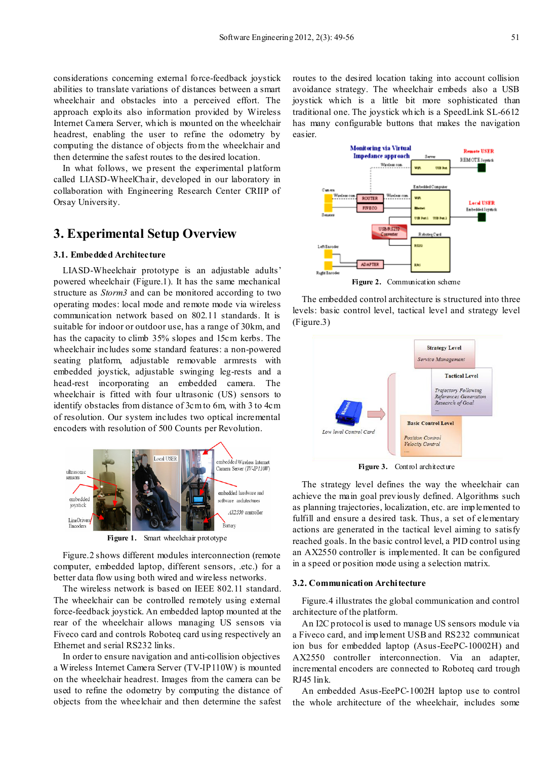considerations concerning external force-feedback joystick abilities to translate variations of distances between a smart wheelchair and obstacles into a perceived effort. The approach exploits also information provided by Wireless Internet Camera Server, which is mounted on the wheelchair headrest, enabling the user to refine the odometry by computing the distance of objects from the wheelchair and then determine the safest routes to the desired location.

In what follows, we present the experimental platform called LIASD-WheelChair, developed in our laboratory in collaboration with Engineering Research Center CRIIP of Orsay University.

# **3. Experimental Setup Overview**

#### **3.1. Embedded Architecture**

LIASD-Wheelchair prototype is an adjustable adults' powered wheelchair (Figure.1). It has the same mechanical structure as *Storm3* and can be monitored according to two operating modes: local mode and remote mode via wireless communication network based on 802.11 standards. It is suitable for indoor or outdoor use, has a range of 30km, and has the capacity to climb 35% slopes and 15cm kerbs. The wheelchair includes some standard features: a non-powered seating platform, adjustable removable armrests with embedded joystick, adjustable swinging leg-rests and a head-rest incorporating an embedded camera. The wheelchair is fitted with four ultrasonic (US) sensors to identify obstacles from distance of 3cm to 6m, with 3 to 4cm of resolution. Our system includes two optical incremental encoders with resolution of 500 Counts per Revolution.



**Figure 1.** Smart wheelchair prototype

Figure.2 shows different modules interconnection (remote computer, embedded laptop, different sensors, .etc.) for a better data flow using both wired and wireless networks.

The wireless network is based on IEEE 802.11 standard. The wheelchair can be controlled remotely using external force-feedback joystick. An embedded laptop mounted at the rear of the wheelchair allows managing US sensors via Fiveco card and controls Roboteq card using respectively an Ethernet and serial RS232 links.

In order to ensure navigation and anti-collision objectives a Wireless Internet Camera Server (TV-IP110W) is mounted on the wheelchair headrest. Images from the camera can be used to refine the odometry by computing the distance of objects from the wheelchair and then determine the safest

routes to the desired location taking into account collision avoidance strategy. The wheelchair embeds also a USB joystick which is a little bit more sophisticated than traditional one. The joystick which is a SpeedLink SL-6612 has many configurable buttons that makes the navigation easier.



The embedded control architecture is structured into three levels: basic control level, tactical level and strategy level (Figure.3)



**Figure 3.** Control architecture

The strategy level defines the way the wheelchair can achieve the main goal previously defined. Algorithms such as planning trajectories, localization, etc. are implemented to fulfill and ensure a desired task. Thus, a set of elementary actions are generated in the tactical level aiming to satisfy reached goals. In the basic control level, a PID control using an AX2550 controller is implemented. It can be configured in a speed or position mode using a selection matrix.

#### **3.2. Communication Architecture**

Figure.4 illustrates the global communication and control architecture of the platform.

An I2C protocol is used to manage US sensors module via a Fiveco card, and implement USB and RS232 communicat ion bus for embedded laptop (Asus-EeePC-10002H) and AX2550 controller interconnection. Via an adapter, incremental encoders are connected to Roboteq card trough RJ45 link.

An embedded Asus-EeePC-1002H laptop use to control the whole architecture of the wheelchair, includes some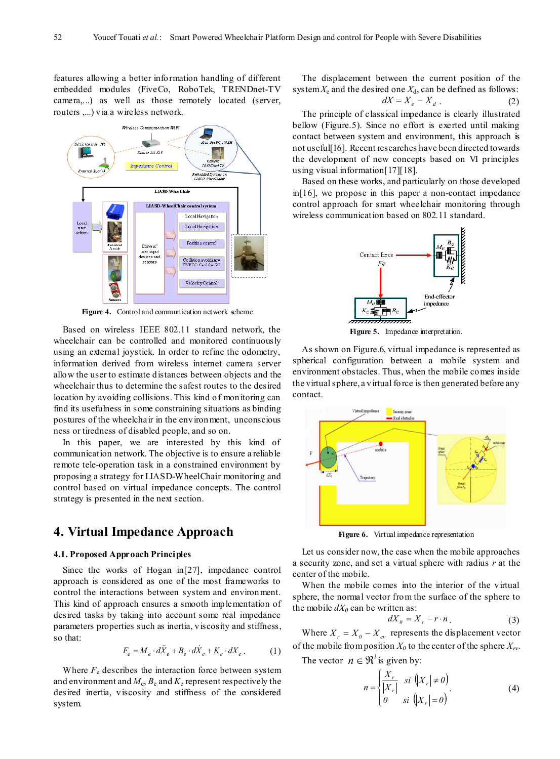features allowing a better information handling of different embedded modules (FiveCo, RoboTek, TRENDnet-TV camera,...) as well as those remotely located (server, routers ,...) via a wireless network.



**Figure 4.** Control and communication network scheme

Based on wireless IEEE 802.11 standard network, the wheelchair can be controlled and monitored continuously using an external joystick. In order to refine the odometry, information derived from wireless internet camera server allow the user to estimate distances between objects and the wheelchair thus to determine the safest routes to the desired location by avoiding collisions. This kind of monitoring can find its usefulness in some constraining situations as binding postures of the wheelchair in the environment, unconscious ness or tiredness of disabled people, and so on.

In this paper, we are interested by this kind of communication network. The objective is to ensure a reliable remote tele-operation task in a constrained environment by proposing a strategy for LIASD-WheelChair monitoring and control based on virtual impedance concepts. The control strategy is presented in the next section.

# **4. Virtual Impedance Approach**

#### **4.1. Proposed Approach Principles**

Since the works of Hogan in[27], impedance control approach is considered as one of the most frameworks to control the interactions between system and environment. This kind of approach ensures a smooth implementation of desired tasks by taking into account some real impedance parameters properties such as inertia, viscosity and stiffness, so that:

$$
F_e = M_e \cdot d\ddot{X}_e + B_e \cdot d\dot{X}_e + K_e \cdot dX_e. \tag{1}
$$

Where  $F_e$  describes the interaction force between system and environment and  $M_e$ ,  $B_e$  and  $K_e$  represent respectively the desired inertia, viscosity and stiffness of the considered system.

The displacement between the current position of the system  $X_e$  and the desired one  $X_d$ , can be defined as follows:

$$
dX = X_e - X_d . \t\t(2)
$$

The principle of classical impedance is clearly illustrated bellow (Figure.5). Since no effort is exerted until making contact between system and environment, this approach is not useful[16]. Recent researches have been directed towards the development of new concepts based on VI principles using visual information[17][18].

Based on these works, and particularly on those developed in[16], we propose in this paper a non-contact impedance control approach for smart wheelchair monitoring through wireless communication based on 802.11 standard.



**Figure 5.** Impedance interpretation.

As shown on Figure.6, virtual impedance is represented as spherical configuration between a mobile system and environment obstacles. Thus, when the mobile comes inside the virtual sphere, a virtual force is then generated before any contact.



**Figure 6.** Virtual impedance representation

Let us consider now, the case when the mobile approaches a security zone, and set a virtual sphere with radius *r* at the center of the mobile.

When the mobile comes into the interior of the virtual sphere, the normal vector from the surface of the sphere to the mobile  $dX_0$  can be written as:

$$
dX_0 = X_r - r \cdot n \tag{3}
$$

Where  $X_r = X_0 - X_{ev}$  represents the displacement vector of the mobile from position  $X_0$  to the center of the sphere  $X_{ev}$ .

The vector  $n \in \mathbb{R}^l$  is given by:

$$
n = \begin{cases} \frac{X_r}{|X_r|} & \text{si } \left( |X_r| \neq 0 \right) \\ 0 & \text{si } \left( |X_r| = 0 \right) \end{cases} \tag{4}
$$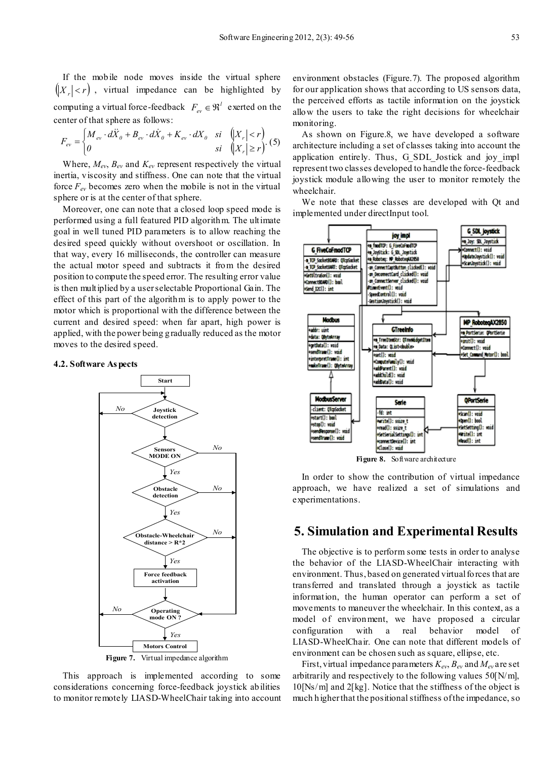If the mobile node moves inside the virtual sphere  $\left( |X| < r \right)$ , virtual impedance can be highlighted by computing a virtual force-feedback  $F_{ev} \in \mathfrak{R}^l$  exerted on the center of that sphere as follows:

$$
F_{ev} = \begin{cases} M_{ev} \cdot d\ddot{X}_0 + B_{ev} \cdot d\dot{X}_0 + K_{ev} \cdot dX_0 & \text{si} \quad \left| X_r \right| < r \\ 0 & \text{si} \quad \left| X_r \right| \ge r \end{cases} \tag{5}
$$

Where,  $M_{ev}$ ,  $B_{ev}$  and  $K_{ev}$  represent respectively the virtual inertia, viscosity and stiffness. One can note that the virtual force  $F_{ev}$  becomes zero when the mobile is not in the virtual sphere or is at the center of that sphere.

Moreover, one can note that a closed loop speed mode is performed using a full featured PID algorithm. The ultimate goal in well tuned PID parameters is to allow reaching the desired speed quickly without overshoot or oscillation. In that way, every 16 milliseconds, the controller can measure the actual motor speed and subtracts it from the desired position to compute the speed error. The resulting error value is then multiplied by a user selectable Proportional Gain. The effect of this part of the algorithm is to apply power to the motor which is proportional with the difference between the current and desired speed: when far apart, high power is applied, with the power being gradually reduced as the motor moves to the desired speed.

#### **4.2. Software As pects**



**Figure 7.** Virtual impedance algorithm

This approach is implemented according to some considerations concerning force-feedback joystick abilities to monitor remotely LIASD-WheelChair taking into account environment obstacles (Figure.7). The proposed algorithm for our application shows that according to US sensors data, the perceived efforts as tactile information on the joystick allow the users to take the right decisions for wheelchair monitoring.

As shown on Figure.8, we have developed a software architecture including a set of classes taking into account the application entirely. Thus, G SDL Jostick and joy impl represent two classes developed to handle the force-feedback joystick module allowing the user to monitor remotely the wheelchair.

We note that these classes are developed with Qt and implemented under directInput tool.



**Figure 8.** Software architecture

In order to show the contribution of virtual impedance approach, we have realized a set of simulations and experimentations.

## **5. Simulation and Experimental Results**

The objective is to perform some tests in order to analyse the behavior of the LIASD-WheelChair interacting with environment. Thus, based on generated virtual forces that are transferred and translated through a joystick as tactile information, the human operator can perform a set of movements to maneuver the wheelchair. In this context, as a model of environment, we have proposed a circular configuration with a real behavior model of LIASD-WheelChair. One can note that different models of environment can be chosen such as square, ellipse, etc.

First, virtual impedance parameters  $K_{ev}$ ,  $B_{ev}$  and  $M_{ev}$  are set arbitrarily and respectively to the following values  $50$ [N/m], 10[Ns/m] and 2[kg]. Notice that the stiffness of the object is much higher that the positional stiffness of the impedance, so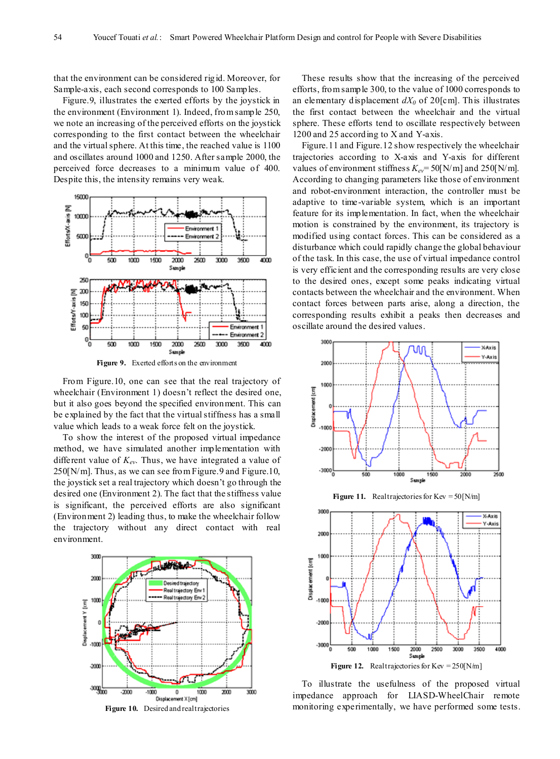that the environment can be considered rigid. Moreover, for Sample-axis, each second corresponds to 100 Samples.

Figure.9, illustrates the exerted efforts by the joystick in the environment (Environment 1). Indeed, from sample 250, we note an increasing of the perceived efforts on the joystick corresponding to the first contact between the wheelchair and the virtual sphere. At this time, the reached value is 1100 and oscillates around 1000 and 1250. After sample 2000, the perceived force decreases to a minimum value of 400. Despite this, the intensity remains very weak.



**Figure 9.** Exerted efforts on the environment

From Figure.10, one can see that the real trajectory of wheelchair (Environment 1) doesn't reflect the desired one, but it also goes beyond the specified environment. This can be explained by the fact that the virtual stiffness has a small value which leads to a weak force felt on the joystick.

To show the interest of the proposed virtual impedance method, we have simulated another implementation with different value of  $K_{ev}$ . Thus, we have integrated a value of 250[N/m]. Thus, as we can see from Figure.9 and Figure.10, the joystick set a real trajectory which doesn't go through the desired one (Environment 2). The fact that the stiffness value is significant, the perceived efforts are also significant (Environment 2) leading thus, to make the wheelchair follow the trajectory without any direct contact with real environment.



These results show that the increasing of the perceived efforts, from sample 300, to the value of 1000 corresponds to an elementary displacement  $dX_0$  of 20[cm]. This illustrates the first contact between the wheelchair and the virtual sphere. These efforts tend to oscillate respectively between 1200 and 25 according to X and Y-axis.

Figure.11 and Figure.12 show respectively the wheelchair trajectories according to X-axis and Y-axis for different values of environment stiffness  $K_{ev}$ = 50[N/m] and 250[N/m]. According to changing parameters like those of environment and robot-environment interaction, the controller must be adaptive to time-variable system, which is an important feature for its implementation. In fact, when the wheelchair motion is constrained by the environment, its trajectory is modified using contact forces. This can be considered as a disturbance which could rapidly change the global behaviour of the task. In this case, the use of virtual impedance control is very efficient and the corresponding results are very close to the desired ones, except some peaks indicating virtual contacts between the wheelchair and the environment. When contact forces between parts arise, along a direction, the corresponding results exhibit a peaks then decreases and oscillate around the desired values.



To illustrate the usefulness of the proposed virtual impedance approach for LIASD-WheelChair remote monitoring experimentally, we have performed some tests.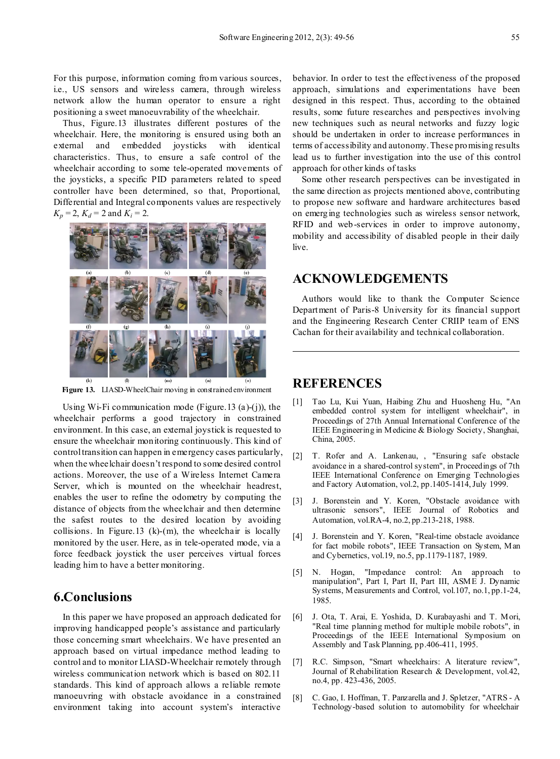For this purpose, information coming from various sources, i.e., US sensors and wireless camera, through wireless network allow the human operator to ensure a right positioning a sweet manoeuvrability of the wheelchair.

Thus, Figure.13 illustrates different postures of the wheelchair. Here, the monitoring is ensured using both an external and embedded joysticks with identical characteristics. Thus, to ensure a safe control of the wheelchair according to some tele-operated movements of the joysticks, a specific PID parameters related to speed controller have been determined, so that, Proportional, Differential and Integral components values are respectively  $K_p = 2$ ,  $K_d = 2$  and  $K_i = 2$ .



**Figure 13.** LIASD-WheelChair moving in constrained environment

Using Wi-Fi communication mode (Figure.13 (a)-(j)), the wheelchair performs a good trajectory in constrained environment. In this case, an external joystick is requested to ensure the wheelchair monitoring continuously. This kind of control transition can happen in emergency cases particularly, when the wheelchair doesn't respond to some desired control actions. Moreover, the use of a Wireless Internet Camera Server, which is mounted on the wheelchair headrest, enables the user to refine the odometry by computing the distance of objects from the wheelchair and then determine the safest routes to the desired location by avoiding collisions. In Figure.13  $(k)-(m)$ , the wheelchair is locally monitored by the user. Here, as in tele-operated mode, via a force feedback joystick the user perceives virtual forces leading him to have a better monitoring.

# **6.Conclusions**

In this paper we have proposed an approach dedicated for improving handicapped people's assistance and particularly those concerning smart wheelchairs. We have presented an approach based on virtual impedance method leading to control and to monitor LIASD-Wheelchair remotely through wireless communication network which is based on 802.11 standards. This kind of approach allows a reliable remote manoeuvring with obstacle avoidance in a constrained environment taking into account system's interactive

behavior. In order to test the effectiveness of the proposed approach, simulations and experimentations have been designed in this respect. Thus, according to the obtained results, some future researches and perspectives involving new techniques such as neural networks and fuzzy logic should be undertaken in order to increase performances in terms of accessibility and autonomy.These promising results lead us to further investigation into the use of this control approach for other kinds of tasks

Some other research perspectives can be investigated in the same direction as projects mentioned above, contributing to propose new software and hardware architectures based on emerging technologies such as wireless sensor network, RFID and web-services in order to improve autonomy, mobility and accessibility of disabled people in their daily live.

## **ACKNOWLEDGEMENTS**

Authors would like to thank the Computer Science Department of Paris-8 University for its financial support and the Engineering Research Center CRIIP team of ENS Cachan for their availability and technical collaboration.

## **REFERENCES**

- [1] Tao Lu, Kui Yuan, Haibing Zhu and Huosheng Hu, "An embedded control system for intelligent wheelchair", in Proceedings of 27th Annual International Conference of the IEEE Engineering in Medicine & Biology Society, Shanghai, China, 2005.
- [2] T. Rofer and A. Lankenau, , "Ensuring safe obstacle avoidance in a shared-control system", in Proceedings of 7th IEEE International Conference on Emerging Technologies and Factory Automation, vol.2, pp.1405-1414, July 1999.
- [3] J. Borenstein and Y. Koren, "Obstacle avoidance with ultrasonic sensors", IEEE Journal of Robotics and Automation, vol.RA-4, no.2, pp.213-218, 1988.
- [4] J. Borenstein and Y. Koren, "Real-time obstacle avoidance for fact mobile robots", IEEE Transaction on System, Man and Cybernetics, vol.19, no.5, pp.1179-1187, 1989.
- [5] N. Hogan, "Impedance control: An approach to manipulation", Part I, Part II, Part III, ASME J. Dynamic Systems, Measurements and Control, vol.107, no.1, pp.1-24, 1985.
- [6] J. Ota, T. Arai, E. Yoshida, D. Kurabayashi and T. Mori, "Real time planning method for multiple mobile robots", in Proceedings of the IEEE International Symposium on Assembly and Task Planning, pp.406-411, 1995.
- [7] R.C. Simpson, "Smart wheelchairs: A literature review", Journal of Rehabilitation Research & Development, vol.42, no.4, pp. 423-436, 2005.
- [8] C. Gao, I. Hoffman, T. Panzarella and J. Spletzer, "ATRS A Technology-based solution to automobility for wheelchair